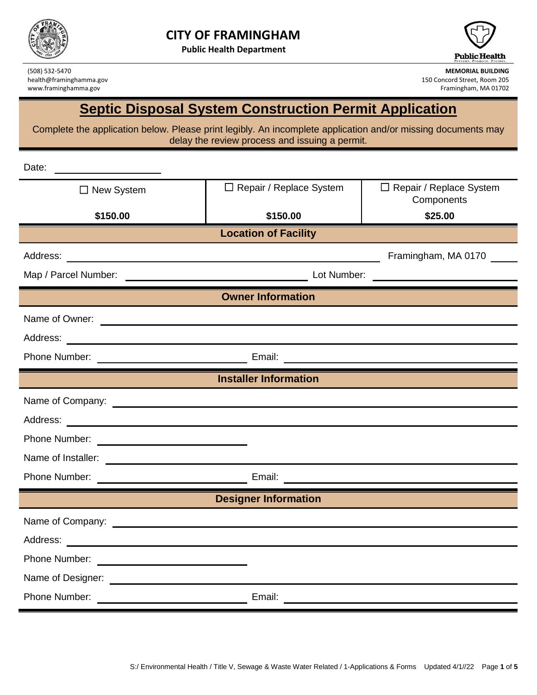

**Public Health Department**



www.framinghamma.gov

**MEMORIAL BUILDING**<br>
150 Concord Street, Room 205 mealth@framinghamma.gov **MEMORIAL BUILDING**<br>
150 Concord Street, Room 205 150 Concord Street, Room 205<br>Framingham, MA 01702

## **Septic Disposal System Construction Permit Application**

Complete the application below. Please print legibly. An incomplete application and/or missing documents may delay the review process and issuing a permit.

| Date:                        |                                                                   |                                              |  |  |  |  |
|------------------------------|-------------------------------------------------------------------|----------------------------------------------|--|--|--|--|
| $\Box$ New System            | □ Repair / Replace System                                         | $\Box$ Repair / Replace System<br>Components |  |  |  |  |
| \$150.00                     | \$150.00                                                          | \$25.00                                      |  |  |  |  |
| <b>Location of Facility</b>  |                                                                   |                                              |  |  |  |  |
|                              |                                                                   | Framingham, MA 0170                          |  |  |  |  |
| Map / Parcel Number:         | Lot Number:<br><u> 1990 - Johann Barbara, martin amerikan per</u> |                                              |  |  |  |  |
|                              | <b>Owner Information</b>                                          |                                              |  |  |  |  |
|                              |                                                                   |                                              |  |  |  |  |
|                              |                                                                   |                                              |  |  |  |  |
|                              |                                                                   |                                              |  |  |  |  |
| <b>Installer Information</b> |                                                                   |                                              |  |  |  |  |
|                              |                                                                   |                                              |  |  |  |  |
|                              |                                                                   |                                              |  |  |  |  |
|                              |                                                                   |                                              |  |  |  |  |
|                              |                                                                   |                                              |  |  |  |  |
|                              |                                                                   |                                              |  |  |  |  |
| <b>Designer Information</b>  |                                                                   |                                              |  |  |  |  |
|                              |                                                                   |                                              |  |  |  |  |
|                              |                                                                   |                                              |  |  |  |  |
| Phone Number:                |                                                                   |                                              |  |  |  |  |
|                              |                                                                   |                                              |  |  |  |  |
| Phone Number:                | Email:                                                            |                                              |  |  |  |  |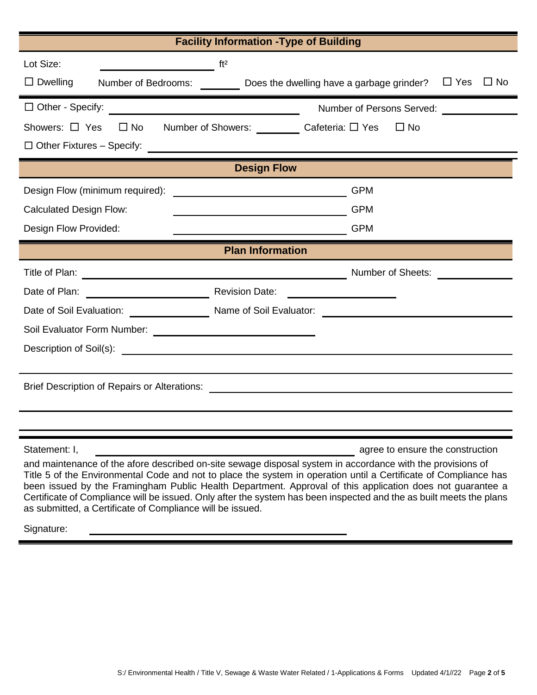| <b>Facility Information - Type of Building</b>                                                                                                                                                                                                                                                                                                                                                                                                                                                                                  |                                     |  |  |  |
|---------------------------------------------------------------------------------------------------------------------------------------------------------------------------------------------------------------------------------------------------------------------------------------------------------------------------------------------------------------------------------------------------------------------------------------------------------------------------------------------------------------------------------|-------------------------------------|--|--|--|
| Lot Size:<br>$\overline{\phantom{a}}$ ft <sup>2</sup>                                                                                                                                                                                                                                                                                                                                                                                                                                                                           |                                     |  |  |  |
| $\Box$ Dwelling<br>Number of Bedrooms: $\frac{1}{\sqrt{1-\frac{1}{\sqrt{1-\frac{1}{\sqrt{1-\frac{1}{\sqrt{1-\frac{1}{\sqrt{1-\frac{1}{\sqrt{1-\frac{1}{\sqrt{1-\frac{1}{\sqrt{1-\frac{1}{\sqrt{1-\frac{1}{\sqrt{1-\frac{1}{\sqrt{1-\frac{1}{\sqrt{1-\frac{1}{\sqrt{1-\frac{1}{\sqrt{1-\frac{1}{\sqrt{1-\frac{1}{\sqrt{1-\frac{1}{\sqrt{1-\frac{1}{\sqrt{1-\frac{1}{\sqrt{1-\frac{1}{\sqrt{1-\frac{1}{\sqrt{1-\frac{1}{\sqrt{1-\frac$                                                                                            |                                     |  |  |  |
| Number of Persons Served:                                                                                                                                                                                                                                                                                                                                                                                                                                                                                                       |                                     |  |  |  |
| Showers: □ Yes □ No Number of Showers: _________ Cafeteria: □ Yes                                                                                                                                                                                                                                                                                                                                                                                                                                                               | $\Box$ No                           |  |  |  |
|                                                                                                                                                                                                                                                                                                                                                                                                                                                                                                                                 |                                     |  |  |  |
| <b>Design Flow</b>                                                                                                                                                                                                                                                                                                                                                                                                                                                                                                              |                                     |  |  |  |
| Design Flow (minimum required):<br><u> 1980 - John Stein, Amerikaansk politiker (</u>                                                                                                                                                                                                                                                                                                                                                                                                                                           | <b>GPM</b>                          |  |  |  |
| <b>Calculated Design Flow:</b><br><u> 1989 - Johann Barnett, fransk politiker (</u>                                                                                                                                                                                                                                                                                                                                                                                                                                             | <b>GPM</b>                          |  |  |  |
| Design Flow Provided:<br><b>CPM</b>                                                                                                                                                                                                                                                                                                                                                                                                                                                                                             |                                     |  |  |  |
| <b>Plan Information</b>                                                                                                                                                                                                                                                                                                                                                                                                                                                                                                         |                                     |  |  |  |
|                                                                                                                                                                                                                                                                                                                                                                                                                                                                                                                                 | Number of Sheets: Number of Sheets: |  |  |  |
|                                                                                                                                                                                                                                                                                                                                                                                                                                                                                                                                 |                                     |  |  |  |
| Date of Soil Evaluation: Name of Soil Evaluator: Name of Soil Evaluator:                                                                                                                                                                                                                                                                                                                                                                                                                                                        |                                     |  |  |  |
|                                                                                                                                                                                                                                                                                                                                                                                                                                                                                                                                 |                                     |  |  |  |
|                                                                                                                                                                                                                                                                                                                                                                                                                                                                                                                                 |                                     |  |  |  |
|                                                                                                                                                                                                                                                                                                                                                                                                                                                                                                                                 |                                     |  |  |  |
| Brief Description of Repairs or Alterations: ___________________________________                                                                                                                                                                                                                                                                                                                                                                                                                                                |                                     |  |  |  |
|                                                                                                                                                                                                                                                                                                                                                                                                                                                                                                                                 |                                     |  |  |  |
|                                                                                                                                                                                                                                                                                                                                                                                                                                                                                                                                 |                                     |  |  |  |
| Statement: I,                                                                                                                                                                                                                                                                                                                                                                                                                                                                                                                   | agree to ensure the construction    |  |  |  |
| and maintenance of the afore described on-site sewage disposal system in accordance with the provisions of<br>Title 5 of the Environmental Code and not to place the system in operation until a Certificate of Compliance has<br>been issued by the Framingham Public Health Department. Approval of this application does not guarantee a<br>Certificate of Compliance will be issued. Only after the system has been inspected and the as built meets the plans<br>as submitted, a Certificate of Compliance will be issued. |                                     |  |  |  |

Signature: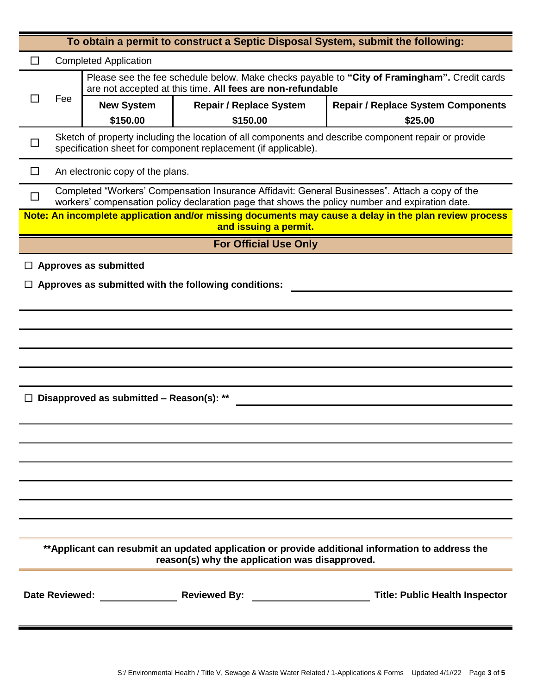| To obtain a permit to construct a Septic Disposal System, submit the following:                                                                     |                                                                                                                                                                        |                                                                                                                                                            |                                                                                                 |                                                                                                       |  |  |
|-----------------------------------------------------------------------------------------------------------------------------------------------------|------------------------------------------------------------------------------------------------------------------------------------------------------------------------|------------------------------------------------------------------------------------------------------------------------------------------------------------|-------------------------------------------------------------------------------------------------|-------------------------------------------------------------------------------------------------------|--|--|
| <b>Completed Application</b>                                                                                                                        |                                                                                                                                                                        |                                                                                                                                                            |                                                                                                 |                                                                                                       |  |  |
|                                                                                                                                                     |                                                                                                                                                                        | Please see the fee schedule below. Make checks payable to "City of Framingham". Credit cards<br>are not accepted at this time. All fees are non-refundable |                                                                                                 |                                                                                                       |  |  |
|                                                                                                                                                     | Fee                                                                                                                                                                    | <b>New System</b>                                                                                                                                          | <b>Repair / Replace System</b>                                                                  | <b>Repair / Replace System Components</b>                                                             |  |  |
|                                                                                                                                                     |                                                                                                                                                                        | \$150.00                                                                                                                                                   | \$150.00                                                                                        | \$25.00                                                                                               |  |  |
|                                                                                                                                                     | Sketch of property including the location of all components and describe component repair or provide<br>specification sheet for component replacement (if applicable). |                                                                                                                                                            |                                                                                                 |                                                                                                       |  |  |
| U                                                                                                                                                   | An electronic copy of the plans.                                                                                                                                       |                                                                                                                                                            |                                                                                                 |                                                                                                       |  |  |
| $\Box$                                                                                                                                              |                                                                                                                                                                        |                                                                                                                                                            | workers' compensation policy declaration page that shows the policy number and expiration date. | Completed "Workers' Compensation Insurance Affidavit: General Businesses". Attach a copy of the       |  |  |
|                                                                                                                                                     |                                                                                                                                                                        |                                                                                                                                                            | and issuing a permit.                                                                           | Note: An incomplete application and/or missing documents may cause a delay in the plan review process |  |  |
|                                                                                                                                                     |                                                                                                                                                                        |                                                                                                                                                            | <b>For Official Use Only</b>                                                                    |                                                                                                       |  |  |
|                                                                                                                                                     |                                                                                                                                                                        | <b>Approves as submitted</b>                                                                                                                               |                                                                                                 |                                                                                                       |  |  |
|                                                                                                                                                     |                                                                                                                                                                        |                                                                                                                                                            | Approves as submitted with the following conditions:                                            |                                                                                                       |  |  |
|                                                                                                                                                     |                                                                                                                                                                        |                                                                                                                                                            |                                                                                                 |                                                                                                       |  |  |
|                                                                                                                                                     |                                                                                                                                                                        |                                                                                                                                                            |                                                                                                 |                                                                                                       |  |  |
|                                                                                                                                                     |                                                                                                                                                                        |                                                                                                                                                            |                                                                                                 |                                                                                                       |  |  |
|                                                                                                                                                     |                                                                                                                                                                        |                                                                                                                                                            |                                                                                                 |                                                                                                       |  |  |
|                                                                                                                                                     |                                                                                                                                                                        |                                                                                                                                                            |                                                                                                 |                                                                                                       |  |  |
|                                                                                                                                                     |                                                                                                                                                                        | Disapproved as submitted - Reason(s): **                                                                                                                   |                                                                                                 |                                                                                                       |  |  |
|                                                                                                                                                     |                                                                                                                                                                        |                                                                                                                                                            |                                                                                                 |                                                                                                       |  |  |
|                                                                                                                                                     |                                                                                                                                                                        |                                                                                                                                                            |                                                                                                 |                                                                                                       |  |  |
|                                                                                                                                                     |                                                                                                                                                                        |                                                                                                                                                            |                                                                                                 |                                                                                                       |  |  |
|                                                                                                                                                     |                                                                                                                                                                        |                                                                                                                                                            |                                                                                                 |                                                                                                       |  |  |
|                                                                                                                                                     |                                                                                                                                                                        |                                                                                                                                                            |                                                                                                 |                                                                                                       |  |  |
|                                                                                                                                                     |                                                                                                                                                                        |                                                                                                                                                            |                                                                                                 |                                                                                                       |  |  |
|                                                                                                                                                     |                                                                                                                                                                        |                                                                                                                                                            |                                                                                                 |                                                                                                       |  |  |
| ** Applicant can resubmit an updated application or provide additional information to address the<br>reason(s) why the application was disapproved. |                                                                                                                                                                        |                                                                                                                                                            |                                                                                                 |                                                                                                       |  |  |
|                                                                                                                                                     |                                                                                                                                                                        |                                                                                                                                                            |                                                                                                 |                                                                                                       |  |  |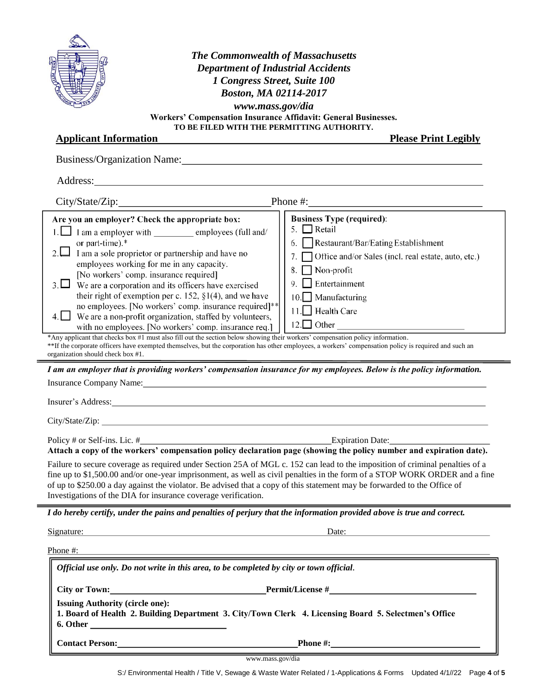| <b>SE PETT</b><br><b>ALAD</b><br><b>CONTRACTOR</b> |  |
|----------------------------------------------------|--|
| <b>CERCIOS M</b>                                   |  |

| <b>The Commonwealth of Massachusetts</b><br><b>Department of Industrial Accidents</b><br>1 Congress Street, Suite 100<br>Boston, MA 02114-2017<br>www.mass.gov/dia<br>Workers' Compensation Insurance Affidavit: General Businesses.<br>TO BE FILED WITH THE PERMITTING AUTHORITY.                                                                                                                                                                                                                                                                                                                                                                                                                                                                                                                                                                                                                                                                                                                                                                                                                                                                                                                                                                                                  |                                                                                                                                                                                                                                                                                                    |  |  |  |  |
|-------------------------------------------------------------------------------------------------------------------------------------------------------------------------------------------------------------------------------------------------------------------------------------------------------------------------------------------------------------------------------------------------------------------------------------------------------------------------------------------------------------------------------------------------------------------------------------------------------------------------------------------------------------------------------------------------------------------------------------------------------------------------------------------------------------------------------------------------------------------------------------------------------------------------------------------------------------------------------------------------------------------------------------------------------------------------------------------------------------------------------------------------------------------------------------------------------------------------------------------------------------------------------------|----------------------------------------------------------------------------------------------------------------------------------------------------------------------------------------------------------------------------------------------------------------------------------------------------|--|--|--|--|
| <b>Applicant Information</b><br><b>Please Print Legibly</b>                                                                                                                                                                                                                                                                                                                                                                                                                                                                                                                                                                                                                                                                                                                                                                                                                                                                                                                                                                                                                                                                                                                                                                                                                         |                                                                                                                                                                                                                                                                                                    |  |  |  |  |
| Business/Organization Name: 1988 and 2008 and 2008 and 2008 and 2008 and 2008 and 2008 and 2008 and 2008 and 2008 and 2008 and 2008 and 2008 and 2008 and 2008 and 2008 and 2008 and 2008 and 2008 and 2008 and 2008 and 2008                                                                                                                                                                                                                                                                                                                                                                                                                                                                                                                                                                                                                                                                                                                                                                                                                                                                                                                                                                                                                                                       |                                                                                                                                                                                                                                                                                                    |  |  |  |  |
|                                                                                                                                                                                                                                                                                                                                                                                                                                                                                                                                                                                                                                                                                                                                                                                                                                                                                                                                                                                                                                                                                                                                                                                                                                                                                     |                                                                                                                                                                                                                                                                                                    |  |  |  |  |
|                                                                                                                                                                                                                                                                                                                                                                                                                                                                                                                                                                                                                                                                                                                                                                                                                                                                                                                                                                                                                                                                                                                                                                                                                                                                                     | Phone #: $\qquad \qquad$                                                                                                                                                                                                                                                                           |  |  |  |  |
| Are you an employer? Check the appropriate box:<br>1. I am a employer with employees (full and/<br>or part-time).*<br>2.<br>I am a sole proprietor or partnership and have no<br>employees working for me in any capacity.<br>[No workers' comp. insurance required]<br>3. $\Box$ We are a corporation and its officers have exercised<br>their right of exemption per c. 152, $\S1(4)$ , and we have<br>no employees. [No workers' comp. insurance required]**<br>$4.$ We are a non-profit organization, staffed by volunteers,<br>with no employees. [No workers' comp. insurance req.]<br>*Any applicant that checks box #1 must also fill out the section below showing their workers' compensation policy information.<br>**If the corporate officers have exempted themselves, but the corporation has other employees, a workers' compensation policy is required and such an<br>organization should check box #1.<br>I am an employer that is providing workers' compensation insurance for my employees. Below is the policy information.<br>Insurance Company Name: 1986 and 2008 and 2008 and 2008 and 2008 and 2008 and 2008 and 2008 and 2008 and 2008 and 2008 and 2008 and 2008 and 2008 and 2008 and 2008 and 2008 and 2008 and 2008 and 2008 and 2008 and 2008 and | <b>Business Type (required):</b><br>5. $\Box$ Retail<br>6. Restaurant/Bar/Eating Establishment<br>Office and/or Sales (incl. real estate, auto, etc.)<br>7.<br>Non-profit<br>8.<br>Entertainment<br>9<br>$\Box$ Manufacturing<br>10.1<br>Health Care<br>11.<br>$12.$ Other contracts of $\sim$ 12. |  |  |  |  |
| Insurer's Address: New York Contains a strategy of the state of the state of the state of the state of the state of the state of the state of the state of the state of the state of the state of the state of the state of th                                                                                                                                                                                                                                                                                                                                                                                                                                                                                                                                                                                                                                                                                                                                                                                                                                                                                                                                                                                                                                                      |                                                                                                                                                                                                                                                                                                    |  |  |  |  |
|                                                                                                                                                                                                                                                                                                                                                                                                                                                                                                                                                                                                                                                                                                                                                                                                                                                                                                                                                                                                                                                                                                                                                                                                                                                                                     |                                                                                                                                                                                                                                                                                                    |  |  |  |  |
| Attach a copy of the workers' compensation policy declaration page (showing the policy number and expiration date).<br>Failure to secure coverage as required under Section 25A of MGL c. 152 can lead to the imposition of criminal penalties of a<br>fine up to \$1,500.00 and/or one-year imprisonment, as well as civil penalties in the form of a STOP WORK ORDER and a fine<br>of up to \$250.00 a day against the violator. Be advised that a copy of this statement may be forwarded to the Office of<br>Investigations of the DIA for insurance coverage verification.                                                                                                                                                                                                                                                                                                                                                                                                                                                                                                                                                                                                                                                                                                     |                                                                                                                                                                                                                                                                                                    |  |  |  |  |
| I do hereby certify, under the pains and penalties of perjury that the information provided above is true and correct.                                                                                                                                                                                                                                                                                                                                                                                                                                                                                                                                                                                                                                                                                                                                                                                                                                                                                                                                                                                                                                                                                                                                                              |                                                                                                                                                                                                                                                                                                    |  |  |  |  |
| Signature: Signature:                                                                                                                                                                                                                                                                                                                                                                                                                                                                                                                                                                                                                                                                                                                                                                                                                                                                                                                                                                                                                                                                                                                                                                                                                                                               | Date:                                                                                                                                                                                                                                                                                              |  |  |  |  |
| <u> 1980 - Johann Barn, mars ann an Cathracha ann an t-</u><br>Phone #:                                                                                                                                                                                                                                                                                                                                                                                                                                                                                                                                                                                                                                                                                                                                                                                                                                                                                                                                                                                                                                                                                                                                                                                                             |                                                                                                                                                                                                                                                                                                    |  |  |  |  |
| Official use only. Do not write in this area, to be completed by city or town official.                                                                                                                                                                                                                                                                                                                                                                                                                                                                                                                                                                                                                                                                                                                                                                                                                                                                                                                                                                                                                                                                                                                                                                                             |                                                                                                                                                                                                                                                                                                    |  |  |  |  |
| City or Town: Permit/License #<br><b>Issuing Authority (circle one):</b><br>1. Board of Health 2. Building Department 3. City/Town Clerk 4. Licensing Board 5. Selectmen's Office                                                                                                                                                                                                                                                                                                                                                                                                                                                                                                                                                                                                                                                                                                                                                                                                                                                                                                                                                                                                                                                                                                   |                                                                                                                                                                                                                                                                                                    |  |  |  |  |
| Contact Person: Phone #: Phone #:                                                                                                                                                                                                                                                                                                                                                                                                                                                                                                                                                                                                                                                                                                                                                                                                                                                                                                                                                                                                                                                                                                                                                                                                                                                   |                                                                                                                                                                                                                                                                                                    |  |  |  |  |

www.mass.gov/dia